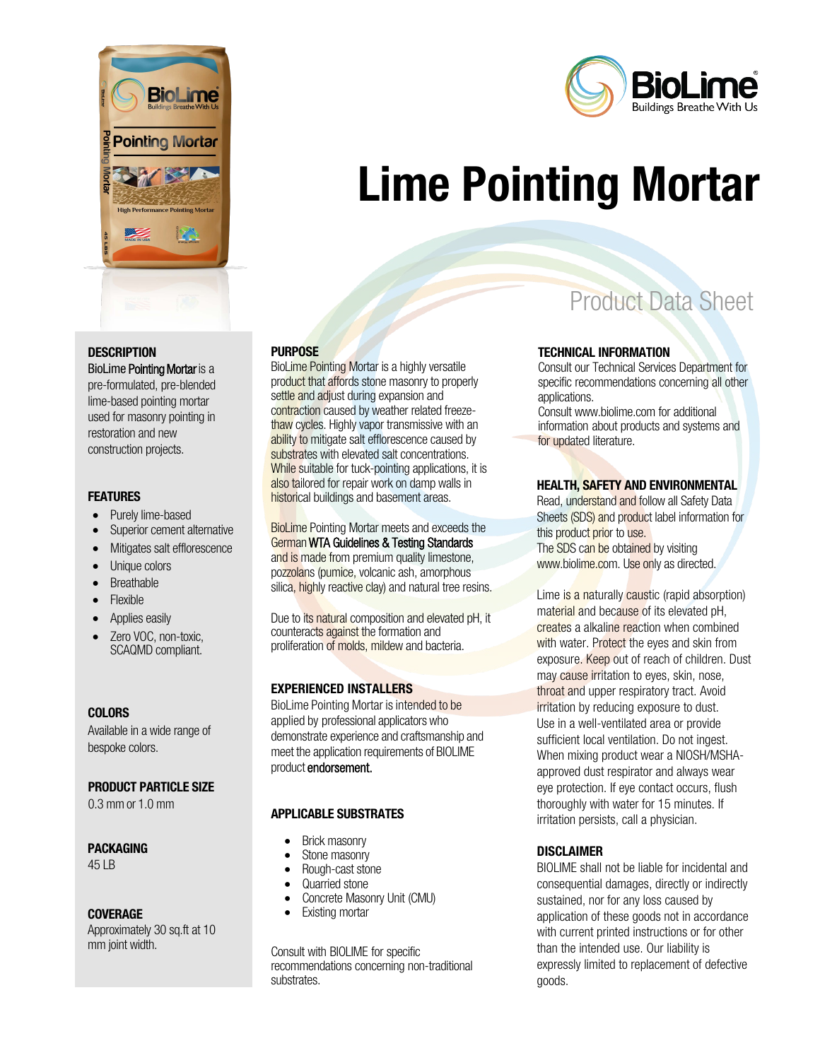



BioLime Pointing Mortar is a pre-formulated, pre-blended lime-based pointing mortar used for masonry pointing in restoration and new construction projects.

#### **FEATURES**

- Purely lime-based
- Superior cement alternative
- Mitigates salt efflorescence
- Unique colors
- **Breathable**
- Flexible
- Applies easily
- Zero VOC, non-toxic, SCAQMD compliant.

#### **COLORS**

Available in a wide range of bespoke colors.

#### PRODUCT PARTICLE SIZE

 $0.3$  mm or  $1.0$  mm

#### PACKAGING

45 LB

#### COVERAGE

Approximately 30 sq.ft at 10 mm joint width.

#### **PURPOSE**

BioLime Pointing Mortar is a highly versatile product that affords stone masonry to properly settle and adjust during expansion and contraction caused by weather related freezethaw cycles. Highly vapor transmissive with an ability to mitigate salt efflorescence caused by substrates with elevated salt concentrations. While suitable for tuck-pointing applications, it is also tailored for repair work on damp walls in historical buildings and basement areas.

BioLime Pointing Mortar meets and exceeds the GermanWTA Guidelines & Testing Standards and is made from premium quality limestone, pozzolans (pumice, volcanic ash, amorphous silica, highly reactive clay) and natural tree resins.

Due to its natural composition and elevated pH, it counteracts against the formation and proliferation of molds, mildew and bacteria.

#### EXPERIENCED INSTALLERS

BioLime Pointing Mortar is intended to be applied by professional applicators who demonstrate experience and craftsmanship and meet the application requirements of BIOLIME product endorsement.

#### APPLICABLE SUBSTRATES

- Brick masonry
- Stone masonry
- Rough-cast stone
- Quarried stone
- Concrete Masonry Unit (CMU)
- **Existing mortar**

Consult with BIOLIME for specific recommendations concerning non-traditional substrates.

# Product Data Sheet

#### TECHNICAL INFORMATION

Lime Pointing Mortar

Consult our Technical Services Department for specific recommendations concerning all other applications.

Consult www.biolime.com for additional information about products and systems and for updated literature.

#### HEALTH, SAFETY AND ENVIRONMENTAL

Read, understand and follow all Safety Data Sheets (SDS) and product label information for this product prior to use. The SDS can be obtained by visiting www.biolime.com. Use only as directed.

Lime is a naturally caustic (rapid absorption) material and because of its elevated pH. creates a alkaline reaction when combined with water. Protect the eyes and skin from exposure. Keep out of reach of children. Dust may cause irritation to eyes, skin, nose, throat and upper respiratory tract. Avoid irritation by reducing exposure to dust. Use in a well-ventilated area or provide sufficient local ventilation. Do not ingest. When mixing product wear a NIOSH/MSHAapproved dust respirator and always wear eye protection. If eye contact occurs, flush thoroughly with water for 15 minutes. If irritation persists, call a physician.

#### **DISCLAIMER**

BIOLIME shall not be liable for incidental and consequential damages, directly or indirectly sustained, nor for any loss caused by application of these goods not in accordance with current printed instructions or for other than the intended use. Our liability is expressly limited to replacement of defective goods.

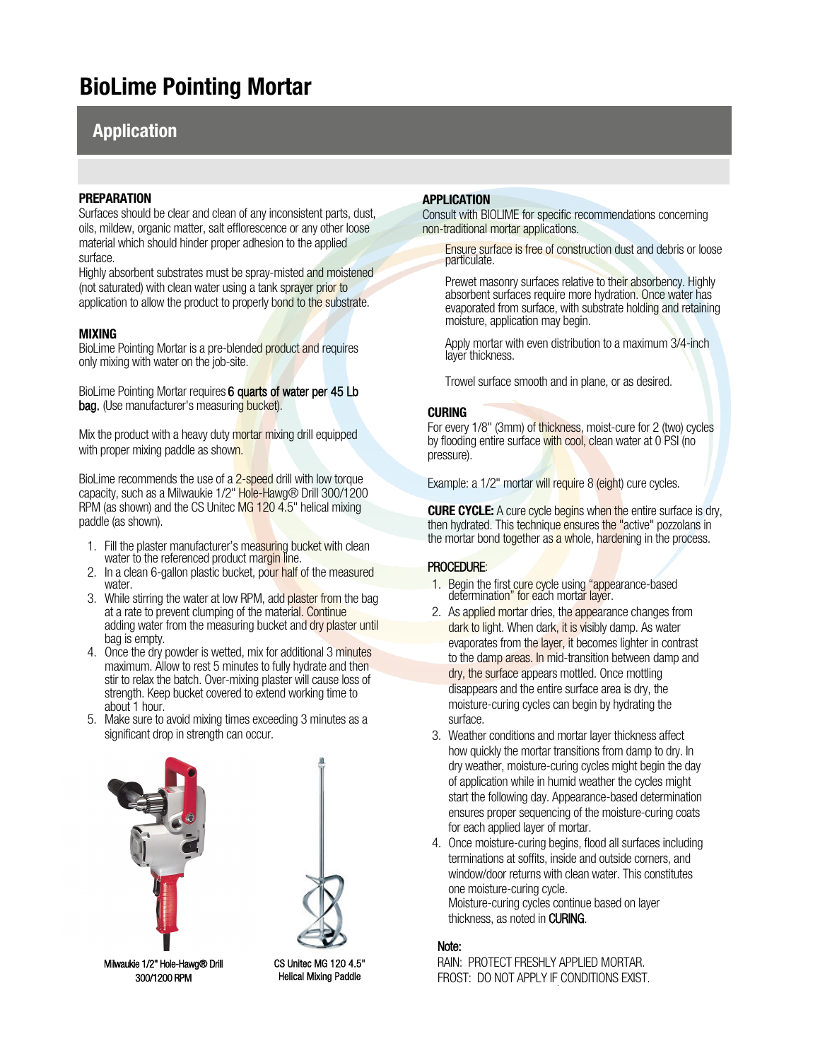## BioLime Pointing Mortar

### Application

#### **PREPARATION**

Surfaces should be clear and clean of any inconsistent parts, dust, oils, mildew, organic matter, salt efflorescence or any other loose material which should hinder proper adhesion to the applied surface.

Highly absorbent substrates must be spray-misted and moistened (not saturated) with clean water using a tank sprayer prior to application to allow the product to properly bond to the substrate.

#### MIXING

BioLime Pointing Mortar is a pre-blended product and requires only mixing with water on the job-site.

BioLime Pointing Mortar requires 6 quarts of water per 45 Lb bag. (Use manufacturer's measuring bucket).

Mix the product with a heavy duty mortar mixing drill equipped with proper mixing paddle as shown.

BioLime recommends the use of a 2-speed drill with low torque capacity, such as a Milwaukie 1/2" Hole-Hawg® Drill 300/1200 RPM (as shown) and the CS Unitec MG 120 4.5" helical mixing paddle (as shown).

- 1. Fill the plaster manufacturer's measuring bucket with clean water to the referenced product margin line.
- 2. In a clean 6-gallon plastic bucket, pour half of the measured water.
- 3. While stirring the water at low RPM, add plaster from the bag at a rate to prevent clumping of the material. Continue adding water from the measuring bucket and dry plaster until bag is empty.
- 4. Once the dry powder is wetted, mix for additional 3 minutes maximum. Allow to rest 5 minutes to fully hydrate and then stir to relax the batch. Over-mixing plaster will cause loss of strength. Keep bucket covered to extend working time to about 1 hour.
- 5. Make sure to avoid mixing times exceeding 3 minutes as a significant drop in strength can occur.





Milwaukie 1/2" Hole-Hawg® Drill 300/1200 RPM

CS Unitec MG 120 4.5" Helical Mixing Paddle

#### APPLICATION

Consult with BIOLIME for specific recommendations concerning non-traditional mortar applications.

Ensure surface is free of construction dust and debris or loose particulate.

Prewet masonry surfaces relative to their absorbency. Highly absorbent surfaces require more hydration. Once water has evaporated from surface, with substrate holding and retaining moisture, application may begin.

Apply mortar with even distribution to a maximum 3/4-inch layer thickness.

Trowel surface smooth and in plane, or as desired.

#### **CURING**

For every 1/8" (3mm) of thickness, moist-cure for 2 (two) cycles by flooding entire surface with cool, clean water at 0 PSI (no pressure).

Example: a 1/2" mortar will require 8 (eight) cure cycles.

**CURE CYCLE:** A cure cycle begins when the entire surface is dry, then hydrated. This technique ensures the "active" pozzolans in the mortar bond together as a whole, hardening in the process.

#### PROCEDURE:

- 1. Begin the first cure cycle using "appearance-based determination" for each mortar layer.
- 2. As applied mortar dries, the appearance changes from dark to light. When dark, it is visibly damp. As water evaporates from the layer, it becomes lighter in contrast to the damp areas. In mid-transition between damp and dry, the surface appears mottled.Once mottling disappears and the entire surface area is dry, the moisture-curing cycles can begin by hydrating the surface.
- 3. Weather conditions and mortar layer thickness affect how quickly the mortar transitions from damp to dry. In dry weather, moisture-curing cycles might begin the day of application while in humid weather the cycles might start the following day. Appearance-based determination ensures proper sequencing of the moisture-curing coats for each applied layer of mortar.
- 4. Once moisture-curing begins, flood all surfaces including terminations at soffits, inside and outside corners, and window/door returns with clean water. This constitutes one moisture-curing cycle. Moisture-curing cycles continue based on layer thickness, as noted in CURING.

#### Note:

RAIN: PROTECT FRESHLY APPLIED MORTAR. FROST: DO NOT APPLY IF CONDITIONS EXIST.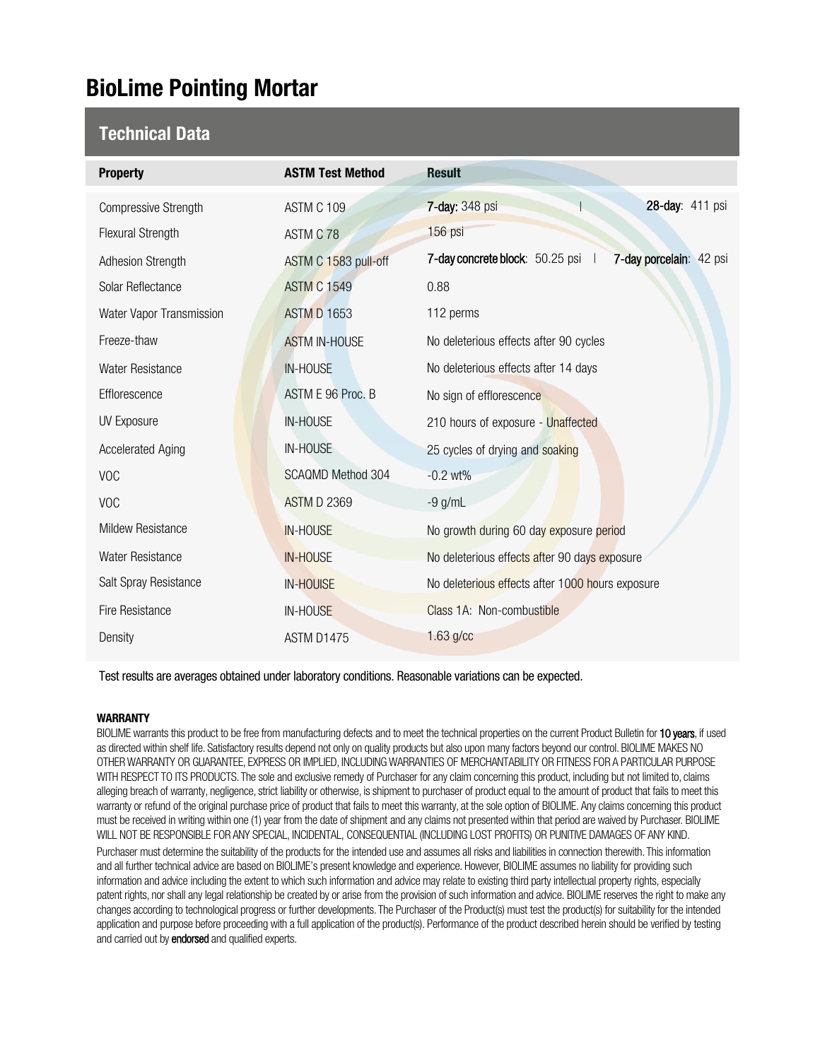## BioLime Pointing Mortar

### Technical Data

| <b>Property</b>             | <b>ASTM Test Method</b>  | <b>Result</b>                                                |
|-----------------------------|--------------------------|--------------------------------------------------------------|
| <b>Compressive Strength</b> | ASTM C 109               | 28-day: 411 psi<br><b>7-day: 348 psi</b>                     |
| <b>Flexural Strength</b>    | ASTM C 78                | 156 psi                                                      |
| Adhesion Strength           | ASTM C 1583 pull-off     | 7-day concrete block: 50.25 psi  <br>7-day porcelain: 42 psi |
| Solar Reflectance           | <b>ASTM C 1549</b>       | 0.88                                                         |
| Water Vapor Transmission    | <b>ASTM D 1653</b>       | 112 perms                                                    |
| Freeze-thaw                 | <b>ASTM IN-HOUSE</b>     | No deleterious effects after 90 cycles                       |
| Water Resistance            | <b>IN-HOUSE</b>          | No deleterious effects after 14 days                         |
| Efflorescence               | ASTM E 96 Proc. B        | No sign of efflorescence                                     |
| <b>UV Exposure</b>          | <b>IN-HOUSE</b>          | 210 hours of exposure - Unaffected                           |
| <b>Accelerated Aging</b>    | IN-HOUSE                 | 25 cycles of drying and soaking                              |
| <b>VOC</b>                  | <b>SCAQMD Method 304</b> | $-0.2$ wt%                                                   |
| <b>VOC</b>                  | <b>ASTM D 2369</b>       | $-9$ g/mL                                                    |
| <b>Mildew Resistance</b>    | <b>IN-HOUSE</b>          | No growth during 60 day exposure period                      |
| Water Resistance            | <b>IN-HOUSE</b>          | No deleterious effects after 90 days exposure                |
| Salt Spray Resistance       | <b>IN-HOUISE</b>         | No deleterious effects after 1000 hours exposure             |
| Fire Resistance             | IN-HOUSE                 | Class 1A: Non-combustible                                    |
| Density                     | ASTM D1475               | $1.63$ g/cc                                                  |

Test results are averages obtained under laboratory conditions. Reasonable variations can be expected.

#### WARRANTY

BIOLIME warrants this product to be free from manufacturing defects and to meet the technical properties on the current Product Bulletin for 10 years, if used as directed within shelf life. Satisfactory results depend not only on quality products but also upon many factors beyond our control. BIOLIME MAKES NO OTHER WARRANTY OR GUARANTEE, EXPRESS OR IMPLIED, INCLUDING WARRANTIES OF MERCHANTABILITY OR FITNESS FOR A PARTICULAR PURPOSE WITH RESPECT TO ITS PRODUCTS. The sole and exclusive remedy of Purchaser for any claim concerning this product, including but not limited to, claims alleging breach of warranty, negligence, strict liability or otherwise, is shipment to purchaser of product equal to the amount of product that fails to meet this warranty or refund of the original purchase price of product that fails to meet this warranty, at the sole option of BIOLIME. Any claims concerning this product must be received in writing within one (1) year from the date of shipment and any claims not presented within that period are waived by Purchaser. BIOLIME WILL NOT BE RESPONSIBLE FOR ANY SPECIAL, INCIDENTAL, CONSEQUENTIAL (INCLUDING LOST PROFITS) OR PUNITIVE DAMAGES OF ANY KIND.

Purchaser must determine the suitability of the products for the intended use and assumes all risks and liabilities in connection therewith. This information and all further technical advice are based on BIOLIME's present knowledge and experience. However, BIOLIME assumes no liability for providing such information and advice including the extent to which such information and advice may relate to existing third party intellectual property rights, especially patent rights, nor shall any legal relationship be created by or arise from the provision of such information and advice. BIOLIME reserves the right to make any changes according to technological progress or further developments. The Purchaser of the Product(s) must test the product(s) for suitability for the intended application and purpose before proceeding with a full application of the product(s). Performance of the product described herein should be verified by testing and carried out by endorsed and qualified experts.